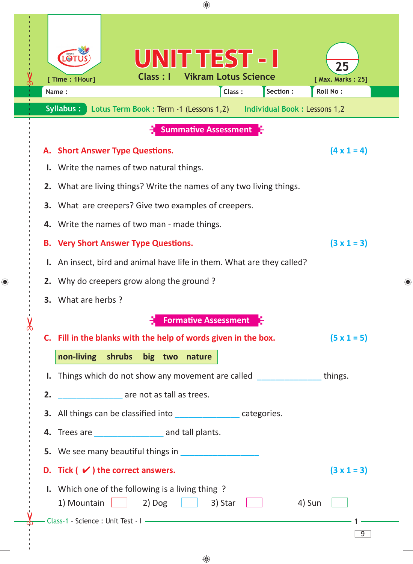|                                                                                                                                                                                 |                                                                                                                |                                                                                               |                    |                           | ⊕                           |        |           |                                                                     |                |   |
|---------------------------------------------------------------------------------------------------------------------------------------------------------------------------------|----------------------------------------------------------------------------------------------------------------|-----------------------------------------------------------------------------------------------|--------------------|---------------------------|-----------------------------|--------|-----------|---------------------------------------------------------------------|----------------|---|
|                                                                                                                                                                                 |                                                                                                                | [ Time : 1Hour]<br>Name:                                                                      |                    | UNIT TEST - I<br>Class: I | <b>Vikram Lotus Science</b> | Class: | Section : | 25<br>[ Max. Marks: 25]<br><b>Roll No:</b>                          |                |   |
|                                                                                                                                                                                 |                                                                                                                | Syllabus:                                                                                     |                    |                           |                             |        |           | Lotus Term Book: Term -1 (Lessons 1,2) Individual Book: Lessons 1,2 |                |   |
|                                                                                                                                                                                 |                                                                                                                |                                                                                               |                    |                           | <b>Summative Assessment</b> |        |           |                                                                     |                |   |
|                                                                                                                                                                                 | $(4 \times 1 = 4)$<br>A. Short Answer Type Questions.<br>Write the names of two natural things.                |                                                                                               |                    |                           |                             |        |           |                                                                     |                |   |
| 2. What are living things? Write the names of any two living things.<br>What are creepers? Give two examples of creepers.<br>З.<br>4. Write the names of two man - made things. |                                                                                                                |                                                                                               |                    |                           |                             |        |           |                                                                     |                |   |
|                                                                                                                                                                                 | $(3 \times 1 = 3)$<br><b>Very Short Answer Type Questions.</b><br>В.                                           |                                                                                               |                    |                           |                             |        |           |                                                                     |                |   |
| I. An insect, bird and animal have life in them. What are they called?<br>Why do creepers grow along the ground?                                                                |                                                                                                                |                                                                                               |                    |                           |                             |        |           |                                                                     |                |   |
|                                                                                                                                                                                 |                                                                                                                |                                                                                               |                    |                           |                             |        |           |                                                                     |                | ⊕ |
| 2.<br>3. What are herbs?                                                                                                                                                        |                                                                                                                |                                                                                               |                    |                           |                             |        |           |                                                                     |                |   |
|                                                                                                                                                                                 |                                                                                                                |                                                                                               |                    |                           |                             |        |           |                                                                     |                |   |
|                                                                                                                                                                                 |                                                                                                                | <b>Formative Assessment</b><br>C. Fill in the blanks with the help of words given in the box. |                    |                           |                             |        |           |                                                                     |                |   |
|                                                                                                                                                                                 |                                                                                                                |                                                                                               |                    |                           |                             |        |           | $(5 \times 1 = 5)$                                                  |                |   |
|                                                                                                                                                                                 |                                                                                                                | non-living shrubs big two nature                                                              |                    |                           |                             |        |           |                                                                     |                |   |
| I. Things which do not show any movement are called things.                                                                                                                     |                                                                                                                |                                                                                               |                    |                           |                             |        |           |                                                                     |                |   |
|                                                                                                                                                                                 | are not as tall as trees.<br>2.<br>3. All things can be classified into _____________________ categories.      |                                                                                               |                    |                           |                             |        |           |                                                                     |                |   |
|                                                                                                                                                                                 |                                                                                                                |                                                                                               |                    |                           |                             |        |           |                                                                     |                |   |
|                                                                                                                                                                                 | 4. Trees are ______________________ and tall plants.                                                           |                                                                                               |                    |                           |                             |        |           |                                                                     |                |   |
| 5. We see many beautiful things in                                                                                                                                              |                                                                                                                |                                                                                               |                    |                           |                             |        |           |                                                                     |                |   |
|                                                                                                                                                                                 |                                                                                                                | D. Tick $(\vee)$ the correct answers.                                                         | $(3 \times 1 = 3)$ |                           |                             |        |           |                                                                     |                |   |
|                                                                                                                                                                                 | <b>I.</b> Which one of the following is a living thing?<br>1) Mountain<br>$2)$ Dog $\Box$<br>3) Star<br>4) Sun |                                                                                               |                    |                           |                             |        |           |                                                                     |                |   |
|                                                                                                                                                                                 |                                                                                                                |                                                                                               |                    |                           |                             |        |           |                                                                     | $\overline{9}$ |   |

 $\bigoplus$ 

 $\bigoplus$